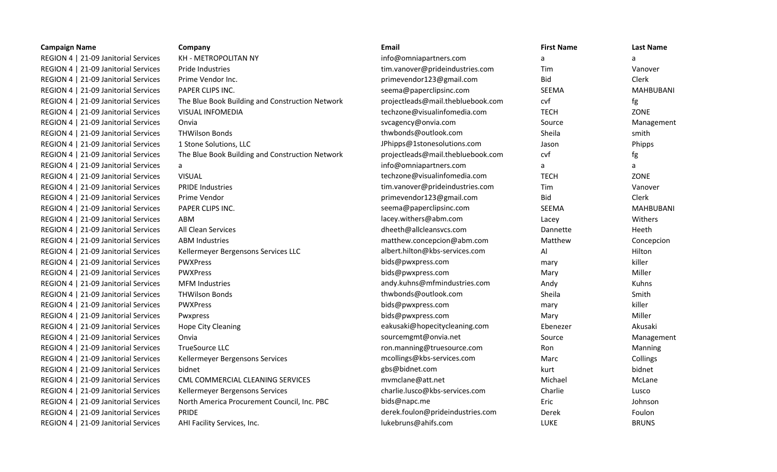| <b>Campaign Name</b>                 | Company                                         | Email                             | <b>First Name</b> | <b>Last Name</b> |
|--------------------------------------|-------------------------------------------------|-----------------------------------|-------------------|------------------|
| REGION 4   21-09 Janitorial Services | KH - METROPOLITAN NY                            | info@omniapartners.com            | a                 | a                |
| REGION 4   21-09 Janitorial Services | Pride Industries                                | tim.vanover@prideindustries.com   | Tim               | Vanover          |
| REGION 4   21-09 Janitorial Services | Prime Vendor Inc.                               | primevendor123@gmail.com          | <b>Bid</b>        | Clerk            |
| REGION 4   21-09 Janitorial Services | PAPER CLIPS INC.                                | seema@paperclipsinc.com           | SEEMA             | <b>MAHBUBANI</b> |
| REGION 4   21-09 Janitorial Services | The Blue Book Building and Construction Network | projectleads@mail.thebluebook.com | cvf               | fg               |
| REGION 4   21-09 Janitorial Services | <b>VISUAL INFOMEDIA</b>                         | techzone@visualinfomedia.com      | <b>TECH</b>       | ZONE             |
| REGION 4   21-09 Janitorial Services | Onvia                                           | svcagency@onvia.com               | Source            | Management       |
| REGION 4   21-09 Janitorial Services | <b>THWilson Bonds</b>                           | thwbonds@outlook.com              | Sheila            | smith            |
| REGION 4   21-09 Janitorial Services | 1 Stone Solutions, LLC                          | JPhipps@1stonesolutions.com       | Jason             | Phipps           |
| REGION 4   21-09 Janitorial Services | The Blue Book Building and Construction Network | projectleads@mail.thebluebook.com | cvf               | fg               |
| REGION 4   21-09 Janitorial Services | a                                               | info@omniapartners.com            | a                 | a                |
| REGION 4   21-09 Janitorial Services | <b>VISUAL</b>                                   | techzone@visualinfomedia.com      | <b>TECH</b>       | ZONE             |
| REGION 4   21-09 Janitorial Services | <b>PRIDE Industries</b>                         | tim.vanover@prideindustries.com   | Tim               | Vanover          |
| REGION 4   21-09 Janitorial Services | Prime Vendor                                    | primevendor123@gmail.com          | <b>Bid</b>        | Clerk            |
| REGION 4   21-09 Janitorial Services | PAPER CLIPS INC.                                | seema@paperclipsinc.com           | <b>SEEMA</b>      | <b>MAHBUBANI</b> |
| REGION 4   21-09 Janitorial Services | ABM                                             | lacey.withers@abm.com             | Lacey             | Withers          |
| REGION 4   21-09 Janitorial Services | All Clean Services                              | dheeth@allcleansvcs.com           | Dannette          | Heeth            |
| REGION 4   21-09 Janitorial Services | <b>ABM Industries</b>                           | matthew.concepcion@abm.com        | Matthew           | Concepcion       |
| REGION 4   21-09 Janitorial Services | Kellermeyer Bergensons Services LLC             | albert.hilton@kbs-services.com    | Al                | Hilton           |
| REGION 4   21-09 Janitorial Services | PWXPress                                        | bids@pwxpress.com                 | mary              | killer           |
| REGION 4   21-09 Janitorial Services | <b>PWXPress</b>                                 | bids@pwxpress.com                 | Mary              | Miller           |
| REGION 4   21-09 Janitorial Services | <b>MFM Industries</b>                           | andy.kuhns@mfmindustries.com      | Andy              | Kuhns            |
| REGION 4   21-09 Janitorial Services | <b>THWilson Bonds</b>                           | thwbonds@outlook.com              | Sheila            | Smith            |
| REGION 4   21-09 Janitorial Services | PWXPress                                        | bids@pwxpress.com                 | mary              | killer           |
| REGION 4   21-09 Janitorial Services | Pwxpress                                        | bids@pwxpress.com                 | Mary              | Miller           |
| REGION 4   21-09 Janitorial Services | Hope City Cleaning                              | eakusaki@hopecitycleaning.com     | Ebenezer          | Akusaki          |
| REGION 4   21-09 Janitorial Services | Onvia                                           | sourcemgmt@onvia.net              | Source            | Management       |
| REGION 4   21-09 Janitorial Services | TrueSource LLC                                  | ron.manning@truesource.com        | Ron               | Manning          |
| REGION 4   21-09 Janitorial Services | Kellermeyer Bergensons Services                 | mcollings@kbs-services.com        | Marc              | Collings         |
| REGION 4   21-09 Janitorial Services | bidnet                                          | gbs@bidnet.com                    | kurt              | bidnet           |
| REGION 4   21-09 Janitorial Services | CML COMMERCIAL CLEANING SERVICES                | mvmclane@att.net                  | Michael           | McLane           |
| REGION 4   21-09 Janitorial Services | Kellermeyer Bergensons Services                 | charlie.lusco@kbs-services.com    | Charlie           | Lusco            |
| REGION 4   21-09 Janitorial Services | North America Procurement Council, Inc. PBC     | bids@napc.me                      | Eric              | Johnson          |
| REGION 4   21-09 Janitorial Services | PRIDE                                           | derek.foulon@prideindustries.com  | Derek             | Foulon           |
| REGION 4   21-09 Janitorial Services | AHI Facility Services, Inc.                     | lukebruns@ahifs.com               | <b>LUKE</b>       | <b>BRUNS</b>     |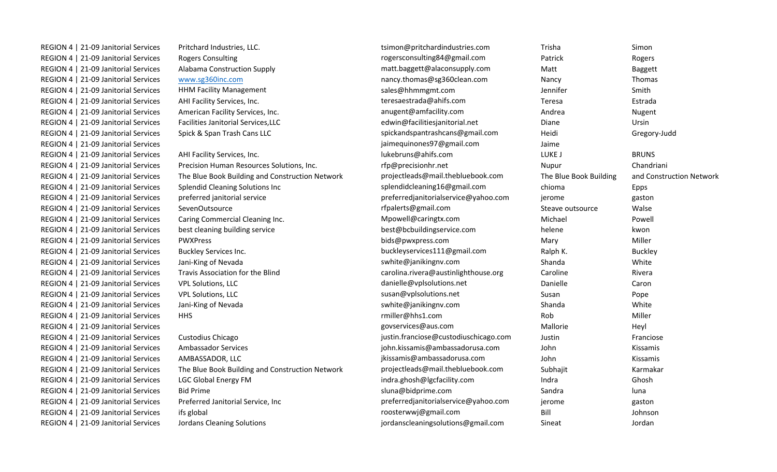| REGION 4   21-09 Janitorial Services | Pritchard Industries, LLC.                      | tsimon@pritchardindustries.com        | Trisha                 | Simon                    |
|--------------------------------------|-------------------------------------------------|---------------------------------------|------------------------|--------------------------|
| REGION 4   21-09 Janitorial Services | <b>Rogers Consulting</b>                        | rogersconsulting84@gmail.com          | Patrick                | Rogers                   |
| REGION 4   21-09 Janitorial Services | Alabama Construction Supply                     | matt.baggett@alaconsupply.com         | Matt                   | <b>Baggett</b>           |
| REGION 4   21-09 Janitorial Services | www.sg360inc.com                                | nancy.thomas@sg360clean.com           | Nancy                  | Thomas                   |
| REGION 4   21-09 Janitorial Services | <b>HHM Facility Management</b>                  | sales@hhmmgmt.com                     | Jennifer               | Smith                    |
| REGION 4   21-09 Janitorial Services | AHI Facility Services, Inc.                     | teresaestrada@ahifs.com               | Teresa                 | Estrada                  |
| REGION 4   21-09 Janitorial Services | American Facility Services, Inc.                | anugent@amfacility.com                | Andrea                 | Nugent                   |
| REGION 4   21-09 Janitorial Services | Facilities Janitorial Services, LLC             | edwin@facilitiesjanitorial.net        | Diane                  | Ursin                    |
| REGION 4   21-09 Janitorial Services | Spick & Span Trash Cans LLC                     | spickandspantrashcans@gmail.com       | Heidi                  | Gregory-Judd             |
| REGION 4   21-09 Janitorial Services |                                                 | jaimequinones97@gmail.com             | Jaime                  |                          |
| REGION 4   21-09 Janitorial Services | AHI Facility Services, Inc.                     | lukebruns@ahifs.com                   | LUKE J                 | <b>BRUNS</b>             |
| REGION 4   21-09 Janitorial Services | Precision Human Resources Solutions, Inc.       | rfp@precisionhr.net                   | Nupur                  | Chandriani               |
| REGION 4   21-09 Janitorial Services | The Blue Book Building and Construction Network | projectleads@mail.thebluebook.com     | The Blue Book Building | and Construction Network |
| REGION 4   21-09 Janitorial Services | <b>Splendid Cleaning Solutions Inc</b>          | splendidcleaning16@gmail.com          | chioma                 | Epps                     |
| REGION 4   21-09 Janitorial Services | preferred janitorial service                    | preferredjanitorialservice@yahoo.com  | jerome                 | gaston                   |
| REGION 4   21-09 Janitorial Services | SevenOutsource                                  | rfpalerts@gmail.com                   | Steave outsource       | Walse                    |
| REGION 4   21-09 Janitorial Services | Caring Commercial Cleaning Inc.                 | Mpowell@caringtx.com                  | Michael                | Powell                   |
| REGION 4   21-09 Janitorial Services | best cleaning building service                  | best@bcbuildingservice.com            | helene                 | kwon                     |
| REGION 4   21-09 Janitorial Services | <b>PWXPress</b>                                 | bids@pwxpress.com                     | Mary                   | Miller                   |
| REGION 4   21-09 Janitorial Services | Buckley Services Inc.                           | buckleyservices111@gmail.com          | Ralph K.               | <b>Buckley</b>           |
| REGION 4   21-09 Janitorial Services | Jani-King of Nevada                             | swhite@janikingnv.com                 | Shanda                 | White                    |
| REGION 4   21-09 Janitorial Services | Travis Association for the Blind                | carolina.rivera@austinlighthouse.org  | Caroline               | Rivera                   |
| REGION 4   21-09 Janitorial Services | <b>VPL Solutions, LLC</b>                       | danielle@vplsolutions.net             | Danielle               | Caron                    |
| REGION 4   21-09 Janitorial Services | <b>VPL Solutions, LLC</b>                       | susan@vplsolutions.net                | Susan                  | Pope                     |
| REGION 4   21-09 Janitorial Services | Jani-King of Nevada                             | swhite@janikingnv.com                 | Shanda                 | White                    |
| REGION 4   21-09 Janitorial Services | <b>HHS</b>                                      | rmiller@hhs1.com                      | Rob                    | Miller                   |
| REGION 4   21-09 Janitorial Services |                                                 | govservices@aus.com                   | Mallorie               | Heyl                     |
| REGION 4   21-09 Janitorial Services | Custodius Chicago                               | justin.franciose@custodiuschicago.com | Justin                 | Franciose                |
| REGION 4   21-09 Janitorial Services | Ambassador Services                             | john.kissamis@ambassadorusa.com       | John                   | Kissamis                 |
| REGION 4   21-09 Janitorial Services | AMBASSADOR, LLC                                 | jkissamis@ambassadorusa.com           | John                   | Kissamis                 |
| REGION 4   21-09 Janitorial Services | The Blue Book Building and Construction Network | projectleads@mail.thebluebook.com     | Subhajit               | Karmakar                 |
| REGION 4   21-09 Janitorial Services | <b>LGC Global Energy FM</b>                     | indra.ghosh@lgcfacility.com           | Indra                  | Ghosh                    |
| REGION 4   21-09 Janitorial Services | <b>Bid Prime</b>                                | sluna@bidprime.com                    | Sandra                 | luna                     |
| REGION 4   21-09 Janitorial Services | Preferred Janitorial Service, Inc               | preferredjanitorialservice@yahoo.com  | jerome                 | gaston                   |
| REGION 4   21-09 Janitorial Services | ifs global                                      | roosterwwj@gmail.com                  | Bill                   | Johnson                  |
| REGION 4   21-09 Janitorial Services | <b>Jordans Cleaning Solutions</b>               | jordanscleaningsolutions@gmail.com    | Sineat                 | Jordan                   |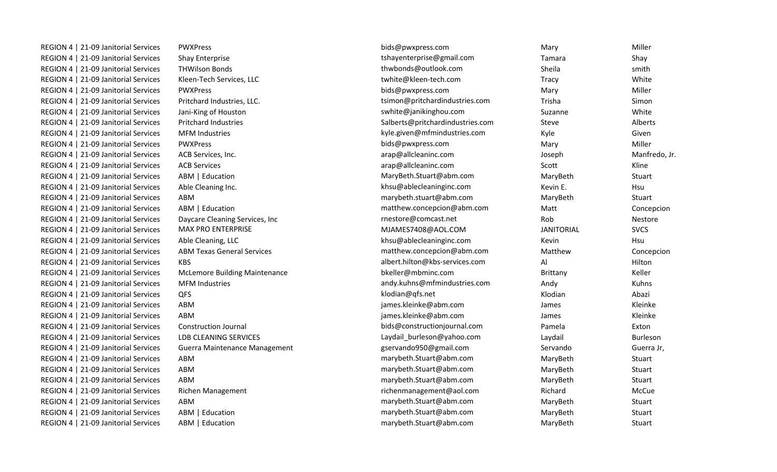| REGION 4   21-09 Janitorial Services | <b>PWXPress</b>                      | bids@pwxpress.com                | Mary              | Miller        |
|--------------------------------------|--------------------------------------|----------------------------------|-------------------|---------------|
| REGION 4   21-09 Janitorial Services | Shay Enterprise                      | tshayenterprise@gmail.com        | Tamara            | Shay          |
| REGION 4   21-09 Janitorial Services | <b>THWilson Bonds</b>                | thwbonds@outlook.com             | Sheila            | smith         |
| REGION 4   21-09 Janitorial Services | Kleen-Tech Services, LLC             | twhite@kleen-tech.com            | Tracy             | White         |
| REGION 4   21-09 Janitorial Services | <b>PWXPress</b>                      | bids@pwxpress.com                | Mary              | Miller        |
| REGION 4   21-09 Janitorial Services | Pritchard Industries, LLC.           | tsimon@pritchardindustries.com   | Trisha            | Simon         |
| REGION 4   21-09 Janitorial Services | Jani-King of Houston                 | swhite@janikinghou.com           | Suzanne           | White         |
| REGION 4   21-09 Janitorial Services | <b>Pritchard Industries</b>          | Salberts@pritchardindustries.com | Steve             | Alberts       |
| REGION 4   21-09 Janitorial Services | <b>MFM Industries</b>                | kyle.given@mfmindustries.com     | Kyle              | Given         |
| REGION 4   21-09 Janitorial Services | <b>PWXPress</b>                      | bids@pwxpress.com                | Mary              | Miller        |
| REGION 4   21-09 Janitorial Services | ACB Services, Inc.                   | arap@allcleaninc.com             | Joseph            | Manfredo, Jr. |
| REGION 4   21-09 Janitorial Services | <b>ACB Services</b>                  | arap@allcleaninc.com             | Scott             | Kline         |
| REGION 4   21-09 Janitorial Services | ABM   Education                      | MaryBeth.Stuart@abm.com          | MaryBeth          | Stuart        |
| REGION 4   21-09 Janitorial Services | Able Cleaning Inc.                   | khsu@ablecleaninginc.com         | Kevin E.          | Hsu           |
| REGION 4   21-09 Janitorial Services | ABM                                  | marybeth.stuart@abm.com          | MaryBeth          | Stuart        |
| REGION 4   21-09 Janitorial Services | ABM   Education                      | matthew.concepcion@abm.com       | Matt              | Concepcion    |
| REGION 4   21-09 Janitorial Services | Daycare Cleaning Services, Inc       | rnestore@comcast.net             | Rob               | Nestore       |
| REGION 4   21-09 Janitorial Services | <b>MAX PRO ENTERPRISE</b>            | MJAMES7408@AOL.COM               | <b>JANITORIAL</b> | <b>SVCS</b>   |
| REGION 4   21-09 Janitorial Services | Able Cleaning, LLC                   | khsu@ablecleaninginc.com         | Kevin             | Hsu           |
| REGION 4   21-09 Janitorial Services | <b>ABM Texas General Services</b>    | matthew.concepcion@abm.com       | Matthew           | Concepcion    |
| REGION 4   21-09 Janitorial Services | <b>KBS</b>                           | albert.hilton@kbs-services.com   | Al                | Hilton        |
| REGION 4   21-09 Janitorial Services | <b>McLemore Building Maintenance</b> | bkeller@mbminc.com               | Brittany          | Keller        |
| REGION 4   21-09 Janitorial Services | <b>MFM Industries</b>                | andy.kuhns@mfmindustries.com     | Andy              | Kuhns         |
| REGION 4   21-09 Janitorial Services | QFS                                  | klodian@qfs.net                  | Klodian           | Abazi         |
| REGION 4   21-09 Janitorial Services | ABM                                  | james.kleinke@abm.com            | James             | Kleinke       |
| REGION 4   21-09 Janitorial Services | ABM                                  | james.kleinke@abm.com            | James             | Kleinke       |
| REGION 4   21-09 Janitorial Services | <b>Construction Journal</b>          | bids@constructionjournal.com     | Pamela            | Exton         |
| REGION 4   21-09 Janitorial Services | LDB CLEANING SERVICES                | Laydail_burleson@yahoo.com       | Laydail           | Burleson      |
| REGION 4   21-09 Janitorial Services | Guerra Maintenance Management        | gservando950@gmail.com           | Servando          | Guerra Jr,    |
| REGION 4   21-09 Janitorial Services | ABM                                  | marybeth.Stuart@abm.com          | MaryBeth          | Stuart        |
| REGION 4   21-09 Janitorial Services | ABM                                  | marybeth.Stuart@abm.com          | MaryBeth          | Stuart        |
| REGION 4   21-09 Janitorial Services | ABM                                  | marybeth.Stuart@abm.com          | MaryBeth          | Stuart        |
| REGION 4   21-09 Janitorial Services | <b>Richen Management</b>             | richenmanagement@aol.com         | Richard           | McCue         |
| REGION 4   21-09 Janitorial Services | ABM                                  | marybeth.Stuart@abm.com          | MaryBeth          | Stuart        |
| REGION 4   21-09 Janitorial Services | ABM   Education                      | marybeth.Stuart@abm.com          | MaryBeth          | Stuart        |
| REGION 4   21-09 Janitorial Services | ABM   Education                      | marybeth.Stuart@abm.com          | MaryBeth          | <b>Stuart</b> |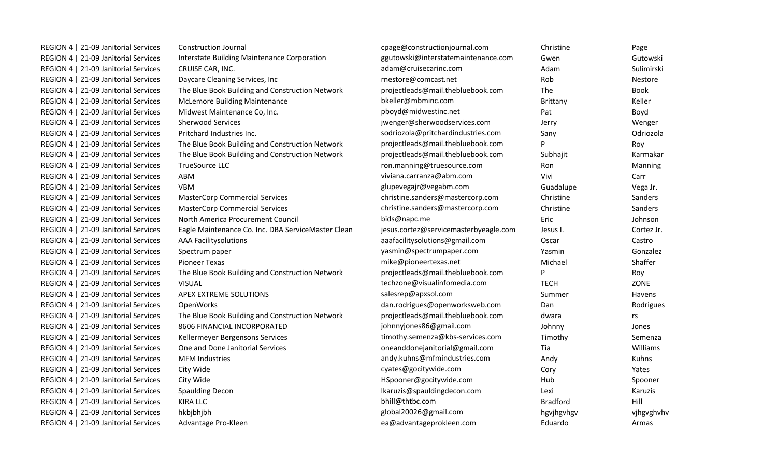| REGION 4   21-09 Janitorial Services | <b>Construction Journal</b>                        | cpage@constructionjournal.com         | Christine       | Page        |
|--------------------------------------|----------------------------------------------------|---------------------------------------|-----------------|-------------|
| REGION 4   21-09 Janitorial Services | Interstate Building Maintenance Corporation        | ggutowski@interstatemaintenance.com   | Gwen            | Gutowski    |
| REGION 4   21-09 Janitorial Services | CRUISE CAR, INC.                                   | adam@cruisecarinc.com                 | Adam            | Sulimirski  |
| REGION 4   21-09 Janitorial Services | Daycare Cleaning Services, Inc                     | rnestore@comcast.net                  | Rob             | Nestore     |
| REGION 4   21-09 Janitorial Services | The Blue Book Building and Construction Network    | projectleads@mail.thebluebook.com     | <b>The</b>      | <b>Book</b> |
| REGION 4   21-09 Janitorial Services | <b>McLemore Building Maintenance</b>               | bkeller@mbminc.com                    | Brittany        | Keller      |
| REGION 4   21-09 Janitorial Services | Midwest Maintenance Co, Inc.                       | pboyd@midwestinc.net                  | Pat             | Boyd        |
| REGION 4   21-09 Janitorial Services | <b>Sherwood Services</b>                           | jwenger@sherwoodservices.com          | Jerry           | Wenger      |
| REGION 4   21-09 Janitorial Services | Pritchard Industries Inc.                          | sodriozola@pritchardindustries.com    | Sany            | Odriozola   |
| REGION 4   21-09 Janitorial Services | The Blue Book Building and Construction Network    | projectleads@mail.thebluebook.com     | P               | Roy         |
| REGION 4   21-09 Janitorial Services | The Blue Book Building and Construction Network    | projectleads@mail.thebluebook.com     | Subhajit        | Karmakar    |
| REGION 4   21-09 Janitorial Services | TrueSource LLC                                     | ron.manning@truesource.com            | Ron             | Manning     |
| REGION 4   21-09 Janitorial Services | ABM                                                | viviana.carranza@abm.com              | Vivi            | Carr        |
| REGION 4   21-09 Janitorial Services | <b>VBM</b>                                         | glupevegajr@vegabm.com                | Guadalupe       | Vega Jr.    |
| REGION 4   21-09 Janitorial Services | <b>MasterCorp Commercial Services</b>              | christine.sanders@mastercorp.com      | Christine       | Sanders     |
| REGION 4   21-09 Janitorial Services | <b>MasterCorp Commercial Services</b>              | christine.sanders@mastercorp.com      | Christine       | Sanders     |
| REGION 4   21-09 Janitorial Services | North America Procurement Council                  | bids@napc.me                          | Eric            | Johnson     |
| REGION 4   21-09 Janitorial Services | Eagle Maintenance Co. Inc. DBA ServiceMaster Clean | jesus.cortez@servicemasterbyeagle.com | Jesus I.        | Cortez Jr.  |
| REGION 4   21-09 Janitorial Services | <b>AAA Facilitysolutions</b>                       | aaafacilitysolutions@gmail.com        | Oscar           | Castro      |
| REGION 4   21-09 Janitorial Services | Spectrum paper                                     | yasmin@spectrumpaper.com              | Yasmin          | Gonzalez    |
| REGION 4   21-09 Janitorial Services | <b>Pioneer Texas</b>                               | mike@pioneertexas.net                 | Michael         | Shaffer     |
| REGION 4   21-09 Janitorial Services | The Blue Book Building and Construction Network    | projectleads@mail.thebluebook.com     | P               | Roy         |
| REGION 4   21-09 Janitorial Services | <b>VISUAL</b>                                      | techzone@visualinfomedia.com          | <b>TECH</b>     | ZONE        |
| REGION 4   21-09 Janitorial Services | APEX EXTREME SOLUTIONS                             | salesrep@apxsol.com                   | Summer          | Havens      |
| REGION 4   21-09 Janitorial Services | OpenWorks                                          | dan.rodrigues@openworksweb.com        | Dan             | Rodrigues   |
| REGION 4   21-09 Janitorial Services | The Blue Book Building and Construction Network    | projectleads@mail.thebluebook.com     | dwara           | rs          |
| REGION 4   21-09 Janitorial Services | 8606 FINANCIAL INCORPORATED                        | johnnyjones86@gmail.com               | Johnny          | Jones       |
| REGION 4   21-09 Janitorial Services | Kellermeyer Bergensons Services                    | timothy.semenza@kbs-services.com      | Timothy         | Semenza     |
| REGION 4   21-09 Janitorial Services | One and Done Janitorial Services                   | oneanddonejanitorial@gmail.com        | Tia             | Williams    |
| REGION 4   21-09 Janitorial Services | <b>MFM Industries</b>                              | andy.kuhns@mfmindustries.com          | Andy            | Kuhns       |
| REGION 4   21-09 Janitorial Services | City Wide                                          | cyates@gocitywide.com                 | Cory            | Yates       |
| REGION 4   21-09 Janitorial Services | City Wide                                          | HSpooner@gocitywide.com               | Hub             | Spooner     |
| REGION 4   21-09 Janitorial Services | <b>Spaulding Decon</b>                             | lkaruzis@spauldingdecon.com           | Lexi            | Karuzis     |
| REGION 4   21-09 Janitorial Services | <b>KIRA LLC</b>                                    | bhill@thtbc.com                       | <b>Bradford</b> | Hill        |
| REGION 4   21-09 Janitorial Services | hkbjbhjbh                                          | global20026@gmail.com                 | hgvjhgvhgv      | vjhgvghvhv  |
| REGION 4   21-09 Janitorial Services | Advantage Pro-Kleen                                | ea@advantageprokleen.com              | Eduardo         | Armas       |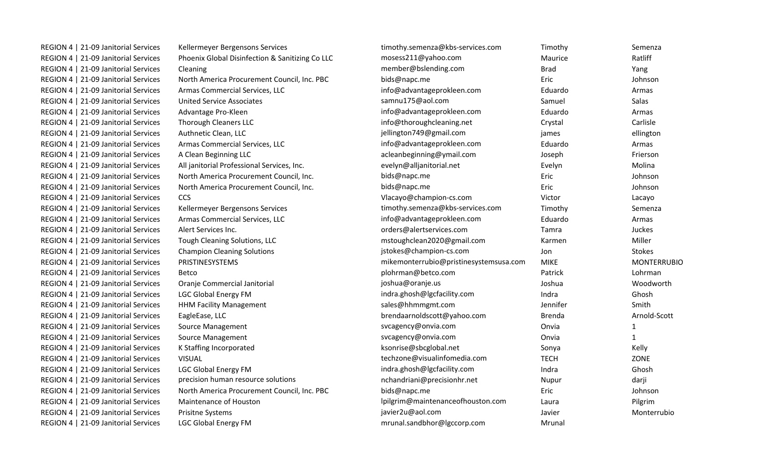| REGION 4   21-09 Janitorial Services | Kellermeyer Bergensons Services                 | timothy.semenza@kbs-services.com       | Timothy       | Semenza            |
|--------------------------------------|-------------------------------------------------|----------------------------------------|---------------|--------------------|
| REGION 4   21-09 Janitorial Services | Phoenix Global Disinfection & Sanitizing Co LLC | mosess211@yahoo.com                    | Maurice       | Ratliff            |
| REGION 4   21-09 Janitorial Services | Cleaning                                        | member@bslending.com                   | <b>Brad</b>   | Yang               |
| REGION 4   21-09 Janitorial Services | North America Procurement Council, Inc. PBC     | bids@napc.me                           | Eric          | Johnson            |
| REGION 4   21-09 Janitorial Services | Armas Commercial Services, LLC                  | info@advantageprokleen.com             | Eduardo       | Armas              |
| REGION 4   21-09 Janitorial Services | <b>United Service Associates</b>                | samnu175@aol.com                       | Samuel        | <b>Salas</b>       |
| REGION 4   21-09 Janitorial Services | Advantage Pro-Kleen                             | info@advantageprokleen.com             | Eduardo       | Armas              |
| REGION 4   21-09 Janitorial Services | Thorough Cleaners LLC                           | info@thoroughcleaning.net              | Crystal       | Carlisle           |
| REGION 4   21-09 Janitorial Services | Authnetic Clean, LLC                            | jellington749@gmail.com                | james         | ellington          |
| REGION 4   21-09 Janitorial Services | Armas Commercial Services, LLC                  | info@advantageprokleen.com             | Eduardo       | Armas              |
| REGION 4   21-09 Janitorial Services | A Clean Beginning LLC                           | acleanbeginning@ymail.com              | Joseph        | Frierson           |
| REGION 4   21-09 Janitorial Services | All janitorial Professional Services, Inc.      | evelyn@alljanitorial.net               | Evelyn        | Molina             |
| REGION 4   21-09 Janitorial Services | North America Procurement Council, Inc.         | bids@napc.me                           | Eric          | Johnson            |
| REGION 4   21-09 Janitorial Services | North America Procurement Council, Inc.         | bids@napc.me                           | Eric          | Johnson            |
| REGION 4   21-09 Janitorial Services | CCS                                             | Vlacayo@champion-cs.com                | Victor        | Lacayo             |
| REGION 4   21-09 Janitorial Services | Kellermeyer Bergensons Services                 | timothy.semenza@kbs-services.com       | Timothy       | Semenza            |
| REGION 4   21-09 Janitorial Services | Armas Commercial Services, LLC                  | info@advantageprokleen.com             | Eduardo       | Armas              |
| REGION 4   21-09 Janitorial Services | Alert Services Inc.                             | orders@alertservices.com               | Tamra         | Juckes             |
| REGION 4   21-09 Janitorial Services | Tough Cleaning Solutions, LLC                   | mstoughclean2020@gmail.com             | Karmen        | Miller             |
| REGION 4   21-09 Janitorial Services | <b>Champion Cleaning Solutions</b>              | jstokes@champion-cs.com                | Jon           | <b>Stokes</b>      |
| REGION 4   21-09 Janitorial Services | PRISTINESYSTEMS                                 | mikemonterrubio@pristinesystemsusa.com | <b>MIKE</b>   | <b>MONTERRUBIO</b> |
| REGION 4   21-09 Janitorial Services | <b>Betco</b>                                    | plohrman@betco.com                     | Patrick       | Lohrman            |
| REGION 4   21-09 Janitorial Services | Oranje Commercial Janitorial                    | joshua@oranje.us                       | Joshua        | Woodworth          |
| REGION 4   21-09 Janitorial Services | <b>LGC Global Energy FM</b>                     | indra.ghosh@lgcfacility.com            | Indra         | Ghosh              |
| REGION 4   21-09 Janitorial Services | <b>HHM Facility Management</b>                  | sales@hhmmgmt.com                      | Jennifer      | Smith              |
| REGION 4   21-09 Janitorial Services | EagleEase, LLC                                  | brendaarnoldscott@yahoo.com            | <b>Brenda</b> | Arnold-Scott       |
| REGION 4   21-09 Janitorial Services | Source Management                               | svcagency@onvia.com                    | Onvia         | $\mathbf{1}$       |
| REGION 4   21-09 Janitorial Services | Source Management                               | svcagency@onvia.com                    | Onvia         | $\mathbf{1}$       |
| REGION 4   21-09 Janitorial Services | K Staffing Incorporated                         | ksonrise@sbcglobal.net                 | Sonya         | Kelly              |
| REGION 4   21-09 Janitorial Services | <b>VISUAL</b>                                   | techzone@visualinfomedia.com           | <b>TECH</b>   | ZONE               |
| REGION 4   21-09 Janitorial Services | <b>LGC Global Energy FM</b>                     | indra.ghosh@lgcfacility.com            | Indra         | Ghosh              |
| REGION 4   21-09 Janitorial Services | precision human resource solutions              | nchandriani@precisionhr.net            | Nupur         | darji              |
| REGION 4   21-09 Janitorial Services | North America Procurement Council, Inc. PBC     | bids@napc.me                           | Eric          | Johnson            |
| REGION 4   21-09 Janitorial Services | Maintenance of Houston                          | lpilgrim@maintenanceofhouston.com      | Laura         | Pilgrim            |
| REGION 4   21-09 Janitorial Services | Prisitne Systems                                | javier2u@aol.com                       | Javier        | Monterrubio        |
| REGION 4   21-09 Janitorial Services | <b>LGC Global Energy FM</b>                     | mrunal.sandbhor@lgccorp.com            | Mrunal        |                    |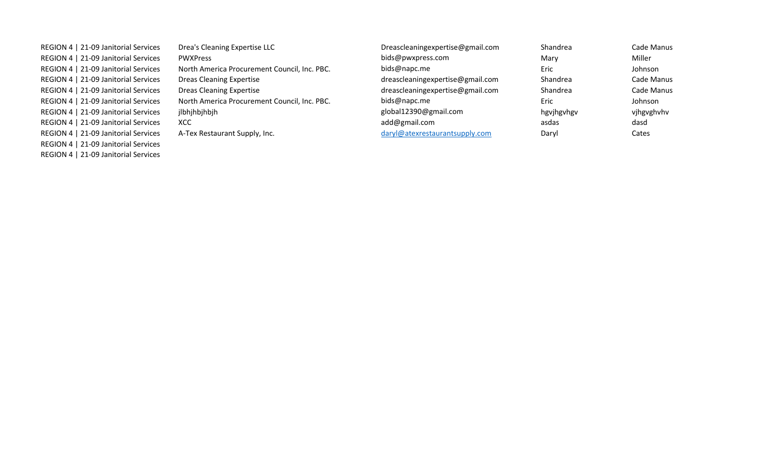| REGION 4   21-09 Janitorial Services | Drea's Cleaning Expertise LLC                | Dreascleaningexpertise@gmail.com | Shandrea   | Cade Manus |
|--------------------------------------|----------------------------------------------|----------------------------------|------------|------------|
| REGION 4   21-09 Janitorial Services | <b>PWXPress</b>                              | bids@pwxpress.com                | Mary       | Miller     |
| REGION 4   21-09 Janitorial Services | North America Procurement Council, Inc. PBC. | bids@napc.me                     | Eric       | Johnson    |
| REGION 4   21-09 Janitorial Services | Dreas Cleaning Expertise                     | dreascleaningexpertise@gmail.com | Shandrea   | Cade Manus |
| REGION 4   21-09 Janitorial Services | <b>Dreas Cleaning Expertise</b>              | dreascleaningexpertise@gmail.com | Shandrea   | Cade Manus |
| REGION 4   21-09 Janitorial Services | North America Procurement Council, Inc. PBC. | bids@napc.me                     | Eric       | Johnson    |
| REGION 4   21-09 Janitorial Services | jlbhjhbjhbjh                                 | global12390@gmail.com            | hgvjhgvhgv | vjhgvghvhv |
| REGION 4   21-09 Janitorial Services | XCC                                          | add@gmail.com                    | asdas      | dasd       |
| REGION 4   21-09 Janitorial Services | A-Tex Restaurant Supply, Inc.                | daryl@atexrestaurantsupply.com   | Daryl      | Cates      |
| REGION 4   21-09 Janitorial Services |                                              |                                  |            |            |

REGION 4 | 21-09 Janitorial Services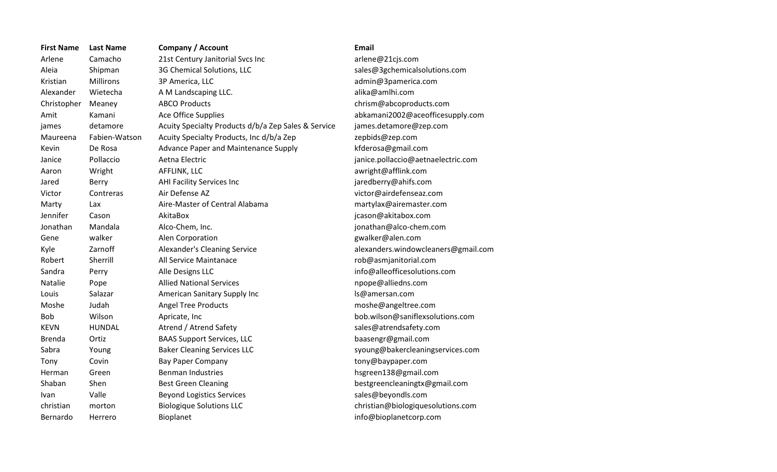| <b>First Name</b> | <b>Last Name</b> | <b>Company / Account</b>                            | <b>Email</b>                       |
|-------------------|------------------|-----------------------------------------------------|------------------------------------|
| Arlene            | Camacho          | 21st Century Janitorial Svcs Inc                    | arlene@21cjs.com                   |
| Aleia             | Shipman          | 3G Chemical Solutions, LLC                          | sales@3gchemicalsolutions.com      |
| Kristian          | Millirons        | 3P America, LLC                                     | admin@3pamerica.com                |
| Alexander         | Wietecha         | A M Landscaping LLC.                                | alika@amlhi.com                    |
| Christopher       | Meaney           | <b>ABCO Products</b>                                | chrism@abcoproducts.com            |
| Amit              | Kamani           | Ace Office Supplies                                 | abkamani2002@aceofficesupply.com   |
| james             | detamore         | Acuity Specialty Products d/b/a Zep Sales & Service | james.detamore@zep.com             |
| Maureena          | Fabien-Watson    | Acuity Specialty Products, Inc d/b/a Zep            | zepbids@zep.com                    |
| Kevin             | De Rosa          | Advance Paper and Maintenance Supply                | kfderosa@gmail.com                 |
| Janice            | Pollaccio        | Aetna Electric                                      | janice.pollaccio@aetnaelectric.com |
| Aaron             | Wright           | AFFLINK, LLC                                        | awright@afflink.com                |
| Jared             | Berry            | AHI Facility Services Inc                           | jaredberry@ahifs.com               |
| Victor            | Contreras        | Air Defense AZ                                      | victor@airdefenseaz.com            |
| Marty             | Lax              | Aire-Master of Central Alabama                      | martylax@airemaster.com            |
| Jennifer          | Cason            | AkitaBox                                            | jcason@akitabox.com                |
| Jonathan          | Mandala          | Alco-Chem, Inc.                                     | jonathan@alco-chem.com             |
| Gene              | walker           | Alen Corporation                                    | gwalker@alen.com                   |
| Kyle              | Zarnoff          | Alexander's Cleaning Service                        | alexanders.windowcleaners@gmail.cc |
| Robert            | Sherrill         | All Service Maintanace                              | rob@asmjanitorial.com              |
| Sandra            | Perry            | Alle Designs LLC                                    | info@alleofficesolutions.com       |
| Natalie           | Pope             | <b>Allied National Services</b>                     | npope@alliedns.com                 |
| Louis             | Salazar          | American Sanitary Supply Inc                        | ls@amersan.com                     |
| Moshe             | Judah            | <b>Angel Tree Products</b>                          | moshe@angeltree.com                |
| <b>Bob</b>        | Wilson           | Apricate, Inc                                       | bob.wilson@saniflexsolutions.com   |
| <b>KEVN</b>       | HUNDAL           | Atrend / Atrend Safety                              | sales@atrendsafety.com             |
| <b>Brenda</b>     | Ortiz            | <b>BAAS Support Services, LLC</b>                   | baasengr@gmail.com                 |
| Sabra             | Young            | <b>Baker Cleaning Services LLC</b>                  | syoung@bakercleaningservices.com   |
| Tony              | Covin            | <b>Bay Paper Company</b>                            | tony@baypaper.com                  |
| Herman            | Green            | <b>Benman Industries</b>                            | hsgreen138@gmail.com               |
| Shaban            | Shen             | <b>Best Green Cleaning</b>                          | bestgreencleaningtx@gmail.com      |
| Ivan              | Valle            | <b>Beyond Logistics Services</b>                    | sales@beyondls.com                 |
| christian         | morton           | <b>Biologique Solutions LLC</b>                     | christian@biologiquesolutions.com  |
| Bernardo          | Herrero          | Bioplanet                                           | info@bioplanetcorp.com             |

admin@3pamerica.com chrism@abcoproducts.com zepbids@zep.com kfderosa@gmail.com janice.pollaccio@aetnaelectric.com jared berry@ahifs.com victor@airdefenseaz.com martylax@airemaster.com alexanders.windowcleaners@gmail.com rob@asmjanitorial.com info@alleofficesolutions.com npope@alliedns.com ls@amersan.com moshe@angeltree.com bob.wilson@saniflexsolutions.com sales@atrendsafety.com baasengr@gmail.com syoung@bakercleaningservices.com tony@baypaper.com hsgreen 138@gmail.com bestgreencleaningtx@gmail.com sales@beyondls.com info@bioplanetcorp.com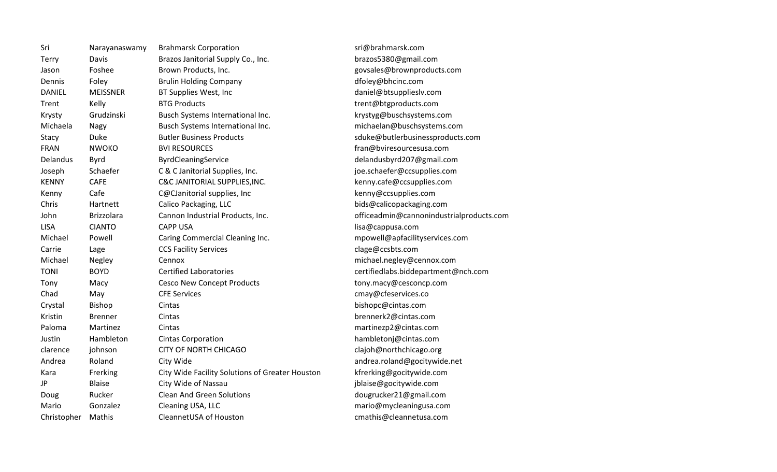| Sri           | Narayanaswamy     | <b>Brahmarsk Corporation</b>                    | sri@brahmarsk.com                        |
|---------------|-------------------|-------------------------------------------------|------------------------------------------|
| Terry         | Davis             | Brazos Janitorial Supply Co., Inc.              | brazos5380@gmail.com                     |
| Jason         | Foshee            | Brown Products, Inc.                            | govsales@brownproducts.com               |
| Dennis        | Foley             | <b>Brulin Holding Company</b>                   | dfoley@bhcinc.com                        |
| <b>DANIEL</b> | <b>MEISSNER</b>   | BT Supplies West, Inc                           | daniel@btsupplieslv.com                  |
| Trent         | Kelly             | <b>BTG Products</b>                             | trent@btgproducts.com                    |
| Krysty        | Grudzinski        | Busch Systems International Inc.                | krystyg@buschsystems.com                 |
| Michaela      | Nagy              | Busch Systems International Inc.                | michaelan@buschsystems.com               |
| Stacy         | Duke              | <b>Butler Business Products</b>                 | sduke@butlerbusinessproducts.com         |
| <b>FRAN</b>   | <b>NWOKO</b>      | <b>BVI RESOURCES</b>                            | fran@bviresourcesusa.com                 |
| Delandus      | <b>Byrd</b>       | ByrdCleaningService                             | delandusbyrd207@gmail.com                |
| Joseph        | Schaefer          | C & C Janitorial Supplies, Inc.                 | joe.schaefer@ccsupplies.com              |
| <b>KENNY</b>  | <b>CAFE</b>       | C&C JANITORIAL SUPPLIES, INC.                   | kenny.cafe@ccsupplies.com                |
| Kenny         | Cafe              | C@CJanitorial supplies, Inc                     | kenny@ccsupplies.com                     |
| Chris         | Hartnett          | Calico Packaging, LLC                           | bids@calicopackaging.com                 |
| John          | <b>Brizzolara</b> | Cannon Industrial Products, Inc.                | officeadmin@cannonindustrialproducts.com |
| <b>LISA</b>   | <b>CIANTO</b>     | <b>CAPP USA</b>                                 | lisa@cappusa.com                         |
| Michael       | Powell            | Caring Commercial Cleaning Inc.                 | mpowell@apfacilityservices.com           |
| Carrie        | Lage              | <b>CCS Facility Services</b>                    | clage@ccsbts.com                         |
| Michael       | Negley            | Cennox                                          | michael.negley@cennox.com                |
| <b>TONI</b>   | <b>BOYD</b>       | <b>Certified Laboratories</b>                   | certifiedlabs.biddepartment@nch.com      |
| Tony          | Macy              | <b>Cesco New Concept Products</b>               | tony.macy@cesconcp.com                   |
| Chad          | May               | <b>CFE Services</b>                             | cmay@cfeservices.co                      |
| Crystal       | Bishop            | Cintas                                          | bishopc@cintas.com                       |
| Kristin       | <b>Brenner</b>    | Cintas                                          | brennerk2@cintas.com                     |
| Paloma        | Martinez          | Cintas                                          | martinezp2@cintas.com                    |
| Justin        | Hambleton         | <b>Cintas Corporation</b>                       | hambletonj@cintas.com                    |
| clarence      | johnson           | CITY OF NORTH CHICAGO                           | clajoh@northchicago.org                  |
| Andrea        | Roland            | City Wide                                       | andrea.roland@gocitywide.net             |
| Kara          | Frerking          | City Wide Facility Solutions of Greater Houston | kfrerking@gocitywide.com                 |
| JP            | <b>Blaise</b>     | City Wide of Nassau                             | jblaise@gocitywide.com                   |
| Doug          | Rucker            | <b>Clean And Green Solutions</b>                | dougrucker21@gmail.com                   |
| Mario         | Gonzalez          | Cleaning USA, LLC                               | mario@mycleaningusa.com                  |
| Christopher   | Mathis            | CleannetUSA of Houston                          | cmathis@cleannetusa.com                  |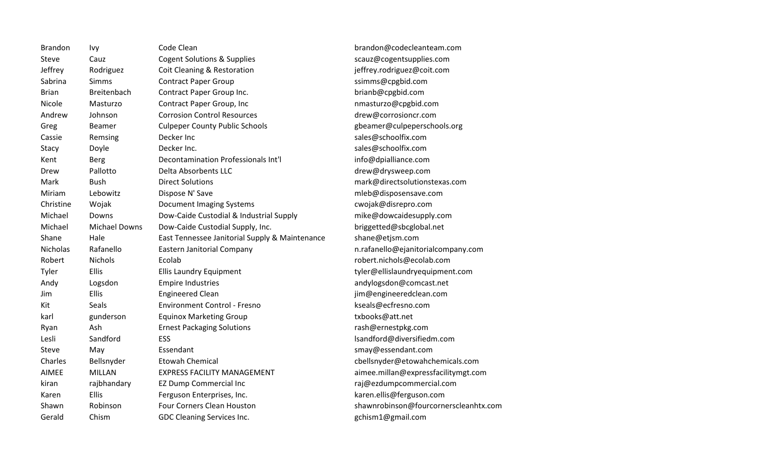Brandon Ivy Code Clean brandon@codecleanteam.com Steve Cauz Cogent Solutions & Supplies Steve Scauz@cogentsupplies.com Jeffrey Rodriguez Coit Cleaning & Restoration in the setter effrey.rodriguez@coit.com Sabrina Simms Contract Paper Group School Sabrina Simms@cpgbid.com Brian Breitenbach Contract Paper Group Inc. brianb@cpgbid.com Nicole Masturzo Contract Paper Group, Inc contract numeric nmasturzo@cpgbid.com Andrew Johnson Corrosion Control Resources drew@corrosioncr.com Greg Beamer Culpeper County Public Schools and the settlemer of the seamer Culpeperschools.org Cassie Remsing Decker Inc Sales@schoolfix.com Stacy Doyle Decker Inc. Sales@schoolfix.com Kent Berg Decontamination Professionals Int'l info@dpialliance.com Drew Pallotto Delta Absorbents LLC communications of the drew@drysweep.com Mark Bush Direct Solutions mark@directsolutionstexas.com Miriam Lebowitz Dispose N' Save metal metal metal metal mediant states are metal metal of the Disposens of the M Christine Wojak Document Imaging Systems cwojak@disrepro.com Michael Downs Dow-Caide Custodial & Industrial Supply mike@dowcaidesupply.com Michael Michael Downs Dow-Caide Custodial Supply, Inc. briggetted@sbcglobal.net Shane Hale East Tennessee Janitorial Supply & Maintenance shane@etjsm.com Nicholas Rafanello Eastern Janitorial Company new material numeric equipment of the Suchen Rafanello Company.com Robert Nichols Ecolab **Ecolab robert.nichols@ecolab.com** Tyler Ellis Ellis Laundry Equipment tyler@ellislaundryequipment.com Andy Logsdon Empire Industries and the comparation of the Logsdon Empire Industries and andylogsdon@comcast.net Jim Ellis Engineered Clean jim@engineeredclean.com Kit Seals **Seals Environment Control - Fresno** Seals **Environment Control - Fresno** Seals **Access** Environment Control - Fresno Communism Reseals **@ecfresno.com** karl gunderson Equinox Marketing Group txbooks@att.net Ryan Ash Ernest Packaging Solutions **Ryan Riversion** rash@ernestpkg.com Lesli Sandford ESS lsandford ESS lsandford@diversifiedm.com Steve May Essendant smay@essendant.com Charles Bellsnyder Etowah Chemical cbellsnyder@etowahchemicals.com AIMEE MILLAN EXPRESS FACILITY MANAGEMENT aimee.millan@expressfacilitymgt.com kiran rajbhandary EZ Dump Commercial Inc rajmes raj@ezdumpcommercial.com Karen Ellis Ferguson Enterprises, Inc. etter and the karen.ellis@ferguson.com Shawn Robinson Four Corners Clean Houston shawnrobinson@fourcornerscleanhtx.com Gerald Chism GDC Cleaning Services Inc. Community Controller Services Inc.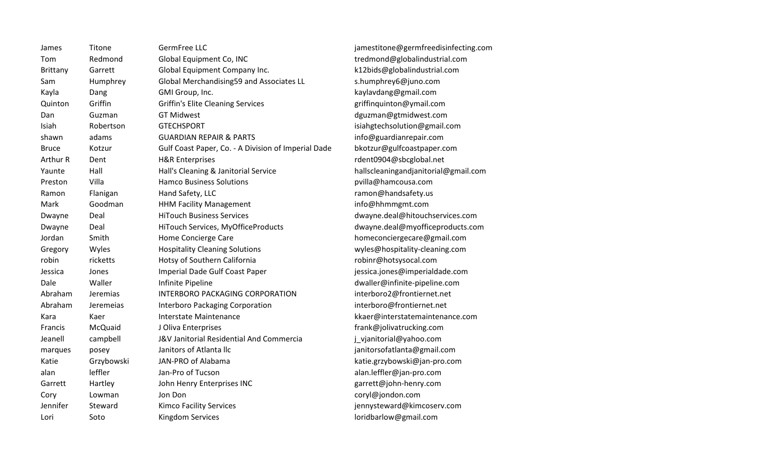| James        | Titone     | GermFree LLC                                        | jamestitone@germfreedisinfecting.com |
|--------------|------------|-----------------------------------------------------|--------------------------------------|
| Tom          | Redmond    | Global Equipment Co, INC                            | tredmond@globalindustrial.com        |
| Brittany     | Garrett    | Global Equipment Company Inc.                       | k12bids@globalindustrial.com         |
| Sam          | Humphrey   | Global Merchandising59 and Associates LL            | s.humphrey6@juno.com                 |
| Kayla        | Dang       | GMI Group, Inc.                                     | kaylavdang@gmail.com                 |
| Quinton      | Griffin    | <b>Griffin's Elite Cleaning Services</b>            | griffinquinton@ymail.com             |
| Dan          | Guzman     | <b>GT Midwest</b>                                   | dguzman@gtmidwest.com                |
| Isiah        | Robertson  | <b>GTECHSPORT</b>                                   | isiahgtechsolution@gmail.com         |
| shawn        | adams      | <b>GUARDIAN REPAIR &amp; PARTS</b>                  | info@guardianrepair.com              |
| <b>Bruce</b> | Kotzur     | Gulf Coast Paper, Co. - A Division of Imperial Dade | bkotzur@gulfcoastpaper.com           |
| Arthur R     | Dent       | <b>H&amp;R Enterprises</b>                          | rdent0904@sbcglobal.net              |
| Yaunte       | Hall       | Hall's Cleaning & Janitorial Service                | hallscleaningandjanitorial@gmail.com |
| Preston      | Villa      | <b>Hamco Business Solutions</b>                     | pvilla@hamcousa.com                  |
| Ramon        | Flanigan   | Hand Safety, LLC                                    | ramon@handsafety.us                  |
| Mark         | Goodman    | <b>HHM Facility Management</b>                      | info@hhmmgmt.com                     |
| Dwayne       | Deal       | <b>HiTouch Business Services</b>                    | dwayne.deal@hitouchservices.com      |
| Dwayne       | Deal       | HiTouch Services, MyOfficeProducts                  | dwayne.deal@myofficeproducts.com     |
| Jordan       | Smith      | Home Concierge Care                                 | homeconciergecare@gmail.com          |
| Gregory      | Wyles      | <b>Hospitality Cleaning Solutions</b>               | wyles@hospitality-cleaning.com       |
| robin        | ricketts   | Hotsy of Southern California                        | robinr@hotsysocal.com                |
| Jessica      | Jones      | Imperial Dade Gulf Coast Paper                      | jessica.jones@imperialdade.com       |
| Dale         | Waller     | Infinite Pipeline                                   | dwaller@infinite-pipeline.com        |
| Abraham      | Jeremias   | <b>INTERBORO PACKAGING CORPORATION</b>              | interboro2@frontiernet.net           |
| Abraham      | Jeremeias  | Interboro Packaging Corporation                     | interboro@frontiernet.net            |
| Kara         | Kaer       | Interstate Maintenance                              | kkaer@interstatemaintenance.com      |
| Francis      | McQuaid    | J Oliva Enterprises                                 | frank@jolivatrucking.com             |
| Jeanell      | campbell   | J&V Janitorial Residential And Commercia            | j_vjanitorial@yahoo.com              |
| marques      | posey      | Janitors of Atlanta IIc                             | janitorsofatlanta@gmail.com          |
| Katie        | Grzybowski | JAN-PRO of Alabama                                  | katie.grzybowski@jan-pro.com         |
| alan         | leffler    | Jan-Pro of Tucson                                   | alan.leffler@jan-pro.com             |
| Garrett      | Hartley    | John Henry Enterprises INC                          | garrett@john-henry.com               |
| Cory         | Lowman     | Jon Don                                             | coryl@jondon.com                     |
| Jennifer     | Steward    | <b>Kimco Facility Services</b>                      | jennysteward@kimcoserv.com           |
| Lori         | Soto       | <b>Kingdom Services</b>                             | loridbarlow@gmail.com                |
|              |            |                                                     |                                      |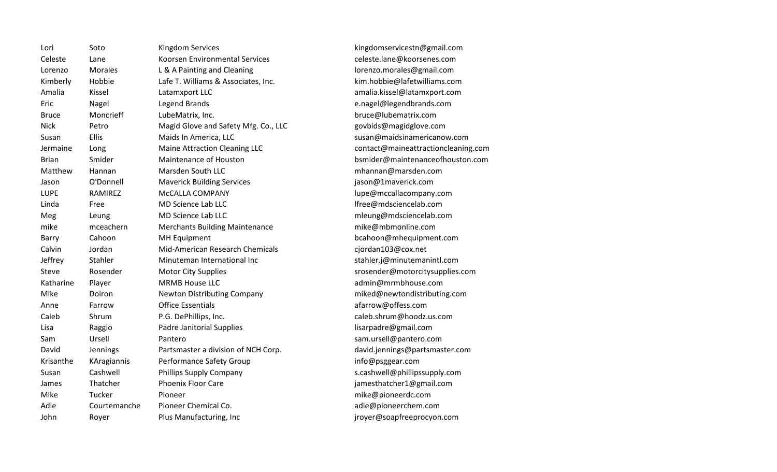| Lori         | Soto           | <b>Kingdom Services</b>               |
|--------------|----------------|---------------------------------------|
| Celeste      | Lane           | Koorsen Environmental Services        |
| Lorenzo      | <b>Morales</b> | L & A Painting and Cleaning           |
| Kimberly     | Hobbie         | Lafe T. Williams & Associates, Inc.   |
| Amalia       | Kissel         | Latamxport LLC                        |
| Eric         | Nagel          | Legend Brands                         |
| Bruce        | Moncrieff      | LubeMatrix, Inc.                      |
| Nick         | Petro          | Magid Glove and Safety Mfg. Co., LLC  |
| Susan        | <b>Ellis</b>   | Maids In America, LLC                 |
| Jermaine     | Long           | Maine Attraction Cleaning LLC         |
| <b>Brian</b> | Smider         | <b>Maintenance of Houston</b>         |
| Matthew      | Hannan         | Marsden South LLC                     |
| Jason        | O'Donnell      | <b>Maverick Building Services</b>     |
| LUPE         | RAMIREZ        | McCALLA COMPANY                       |
| Linda        | Free           | <b>MD Science Lab LLC</b>             |
| Meg          | Leung          | <b>MD Science Lab LLC</b>             |
| mike         | mceachern      | <b>Merchants Building Maintenance</b> |
| Barry        | Cahoon         | <b>MH Equipment</b>                   |
| Calvin       | Jordan         | Mid-American Research Chemicals       |
| Jeffrey      | Stahler        | Minuteman International Inc           |
| Steve        | Rosender       | <b>Motor City Supplies</b>            |
| Katharine    | Player         | <b>MRMB House LLC</b>                 |
| Mike         | Doiron         | <b>Newton Distributing Company</b>    |
| Anne         | Farrow         | <b>Office Essentials</b>              |
| Caleb        | Shrum          | P.G. DePhillips, Inc.                 |
| Lisa         | Raggio         | <b>Padre Janitorial Supplies</b>      |
| Sam          | Ursell         | Pantero                               |
| David        | Jennings       | Partsmaster a division of NCH Corp.   |
| Krisanthe    | KAragiannis    | Performance Safety Group              |
| Susan        | Cashwell       | Phillips Supply Company               |
| James        | Thatcher       | <b>Phoenix Floor Care</b>             |
| Mike         | Tucker         | Pioneer                               |
| Adie         | Courtemanche   | Pioneer Chemical Co.                  |
| John         | Royer          | Plus Manufacturing, Inc               |
|              |                |                                       |

kingdom services tn@gmail.com celeste.lane@koorsenes.com lorenzo.morales@gmail.com kim.hobbie@lafetwilliams.com amalia.kissel@latamxport.com e.nagel@legendbrands.com bruce@lubematrix.com govbids@magidglove.com susan@maidsinamericanow.com contact@maineattractioncleaning.com bsmider@maintenanceofhouston.com mhannan@marsden.com jason@1maverick.com lupe@mccallacompany.com lfree@mdsciencelab.com mleung@mdsciencelab.com mike@mbmonline.com bcahoon@mhequipment.com cjordan 103@cox.net stahler.j@minutemanintl.com srosender@motorcitysupplies.com admin@mrmbhouse.com miked@newtondistributing.com afarrow@offess.com caleb.shrum@hoodz.us.com lisarpadre@gmail.com sam.ursell@pantero.com david .jennings@partsmaster.com info@psggear.com s.cashwell@phillipssupply.com james that cher 1@gmail.com mike@pioneerdc.com adie@pioneerchem.com jroyer@soapfreeprocyon.com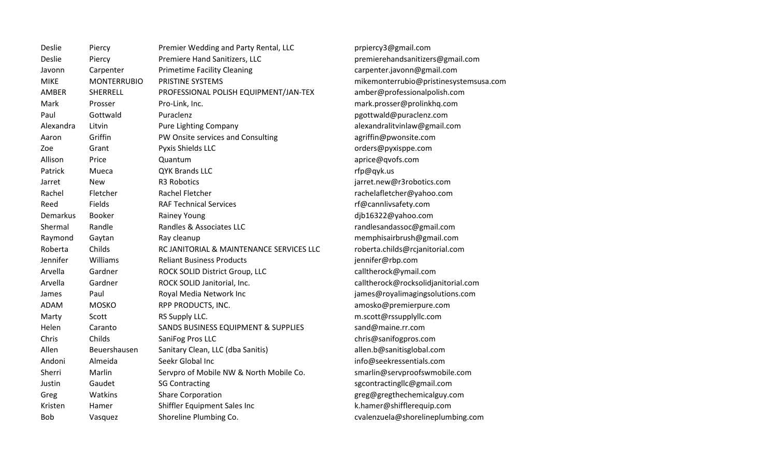| Deslie    | Piercy             | Premier Wedding and Party Rental, LLC    | р            |
|-----------|--------------------|------------------------------------------|--------------|
| Deslie    | Piercy             | Premiere Hand Sanitizers, LLC            | p            |
| Javonn    | Carpenter          | <b>Primetime Facility Cleaning</b>       | C            |
| MIKE      | <b>MONTERRUBIO</b> | PRISTINE SYSTEMS                         | n            |
| AMBER     | SHERRELL           | PROFESSIONAL POLISH EQUIPMENT/JAN-TEX    | a            |
| Mark      | Prosser            | Pro-Link, Inc.                           | n            |
| Paul      | Gottwald           | Puraclenz                                | р            |
| Alexandra | Litvin             | <b>Pure Lighting Company</b>             | a            |
| Aaron     | Griffin            | PW Onsite services and Consulting        | a            |
| Zoe       | Grant              | Pyxis Shields LLC                        | C            |
| Allison   | Price              | Quantum                                  | a            |
| Patrick   | Mueca              | <b>QYK Brands LLC</b>                    | r            |
| Jarret    | <b>New</b>         | R3 Robotics                              | j            |
| Rachel    | Fletcher           | <b>Rachel Fletcher</b>                   | r            |
| Reed      | Fields             | <b>RAF Technical Services</b>            | r            |
| Demarkus  | <b>Booker</b>      | <b>Rainey Young</b>                      | d            |
| Shermal   | Randle             | Randles & Associates LLC                 | r            |
| Raymond   | Gaytan             | Ray cleanup                              | n            |
| Roberta   | Childs             | RC JANITORIAL & MAINTENANCE SERVICES LLC | r            |
| Jennifer  | Williams           | <b>Reliant Business Products</b>         | j            |
| Arvella   | Gardner            | ROCK SOLID District Group, LLC           | c            |
| Arvella   | Gardner            | ROCK SOLID Janitorial, Inc.              | $\mathsf{C}$ |
| James     | Paul               | Royal Media Network Inc                  | j            |
| ADAM      | <b>MOSKO</b>       | RPP PRODUCTS, INC.                       | a            |
| Marty     | Scott              | RS Supply LLC.                           | n            |
| Helen     | Caranto            | SANDS BUSINESS EQUIPMENT & SUPPLIES      | S            |
| Chris     | Childs             | SaniFog Pros LLC                         | C            |
| Allen     | Beuershausen       | Sanitary Clean, LLC (dba Sanitis)        | a            |
| Andoni    | Almeida            | Seekr Global Inc                         | İI           |
| Sherri    | Marlin             | Servpro of Mobile NW & North Mobile Co.  | S            |
| Justin    | Gaudet             | <b>SG Contracting</b>                    | S            |
| Greg      | Watkins            | <b>Share Corporation</b>                 | g            |
| Kristen   | Hamer              | Shiffler Equipment Sales Inc             | $\mathsf k$  |
| Bob       | Vasquez            | Shoreline Plumbing Co.                   | $\mathbf c$  |

prpiercy 3@gmail.com premiere hand sanitizers@gmail.com carpenter .javonn@gmail.com mike monterrubio @pristinesystemsusa.com amber@professionalpolish.com mark.prosser@prolinkhq.com  $p$ aut Gottwald@puraclenz.com alexandralitvinlaw@gmail.com agriffin@pwonsite.com orders@pyxisppe.com aprice@qvofs.com rfp@qyk.us jarret.new@r3robotics.com rachel afletcher@yahoo.com f@cannlivsafety.com djb16322@yahoo.com randle sandassoc@gmail.com memphisairbrush@gmail.com roberta.childs@rcjanitorial.com jennifer@rbp.com calltherock@ymail.com calltherock@rocksolidjanitorial.com james@royal imagingsolutions.com amosko@premierpure.com m.scott@rssupplyllc.com sand@maine.rr.com chris@sanifogpros.com allen.b@sanitisglobal.com nfo@seekressentials.com  $s$ marlin@servproofswmobile.com  $sgcontracting llc@gmail.com$ greg@gregthechemicalguy.com k.hamer@shiffler equip.com  $c$ valenzuela@shoreline plumbing.com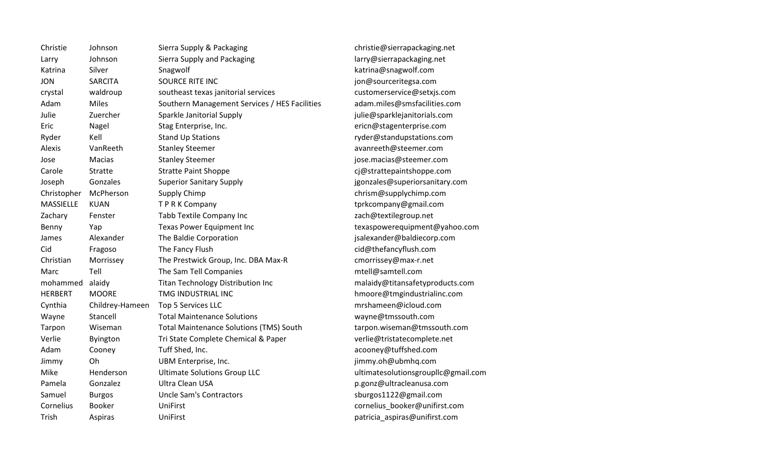| Christie         | Johnson         | Sierra Supply & Packaging                      |
|------------------|-----------------|------------------------------------------------|
| Larry            | Johnson         | Sierra Supply and Packaging                    |
| Katrina          | Silver          | Snagwolf                                       |
| <b>JON</b>       | <b>SARCITA</b>  | <b>SOURCE RITE INC</b>                         |
| crystal          | waldroup        | southeast texas janitorial services            |
| Adam             | <b>Miles</b>    | Southern Management Services / HES Facilities  |
| Julie            | Zuercher        | Sparkle Janitorial Supply                      |
| Eric             | Nagel           | Stag Enterprise, Inc.                          |
| Ryder            | Kell            | <b>Stand Up Stations</b>                       |
| Alexis           | VanReeth        | <b>Stanley Steemer</b>                         |
| Jose             | Macias          | <b>Stanley Steemer</b>                         |
| Carole           | Stratte         | <b>Stratte Paint Shoppe</b>                    |
| Joseph           | Gonzales        | <b>Superior Sanitary Supply</b>                |
| Christopher      | McPherson       | Supply Chimp                                   |
| <b>MASSIELLE</b> | <b>KUAN</b>     | TPRK Company                                   |
| Zachary          | Fenster         | Tabb Textile Company Inc                       |
| Benny            | Yap             | Texas Power Equipment Inc                      |
| James            | Alexander       | The Baldie Corporation                         |
| Cid              | Fragoso         | The Fancy Flush                                |
| Christian        | Morrissey       | The Prestwick Group, Inc. DBA Max-R            |
| Marc             | Tell            | The Sam Tell Companies                         |
| mohammed         | alaidy          | <b>Titan Technology Distribution Inc</b>       |
| <b>HERBERT</b>   | <b>MOORE</b>    | TMG INDUSTRIAL INC                             |
| Cynthia          | Childrey-Hameen | Top 5 Services LLC                             |
| Wayne            | Stancell        | <b>Total Maintenance Solutions</b>             |
| Tarpon           | Wiseman         | <b>Total Maintenance Solutions (TMS) South</b> |
| Verlie           | Byington        | Tri State Complete Chemical & Paper            |
| Adam             | Cooney          | Tuff Shed, Inc.                                |
| Jimmy            | Oh              | UBM Enterprise, Inc.                           |
| Mike             | Henderson       | <b>Ultimate Solutions Group LLC</b>            |
| Pamela           | Gonzalez        | Ultra Clean USA                                |
| Samuel           | <b>Burgos</b>   | <b>Uncle Sam's Contractors</b>                 |
| Cornelius        | <b>Booker</b>   | UniFirst                                       |
| Trish            | Aspiras         | UniFirst                                       |
|                  |                 |                                                |

christie@sierrapackaging.net larry@sierrapackaging.net katrina@snagwolf.com jon@sourceritegsa.com customerservice@setxjs.com adam.miles@smsfacilities.com julie@sparklejanitorials.com ericn@stagenterprise.com ryder@standupstations.com avanreeth@steemer.com jose.macias@steemer.com cj@strattepaintshoppe.com jgonzales@superiorsanitary.com chrism@supplychimp.com tprkcompany@gmail.com zach@textilegroup.net texas power equipment @yahoo.com jsalexander@baldiecorp.com cid@thefancyflush.com cmorrissey@max-r.net mtell@samtell.com malaidy@titansafetyproducts.com hmoore@tmgindustrialinc.com mrshameen@icloud.com wayne@tmssouth.com tarpon.wiseman@tmssouth.com verlie@tristatecomplete.net acooney@tuffshed.com jimmy.oh@ubmhq.com ultimatesolutionsgroupllc@gmail.com p.gonz@ultracleanusa.com sburgos1122@gmail.com cornelius\_booker@unifirst.com patricia\_aspiras@unifirst.com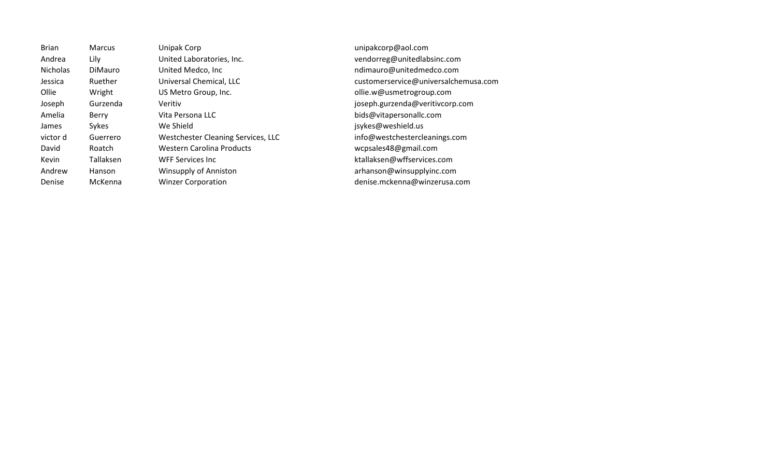| <b>Brian</b>    | <b>Marcus</b>  | Unipak Corp                        | unipakcorp@aol.com                   |
|-----------------|----------------|------------------------------------|--------------------------------------|
| Andrea          | Lily           | United Laboratories, Inc.          | vendorreg@unitedlabsinc.com          |
| <b>Nicholas</b> | <b>DiMauro</b> | United Medco, Inc.                 | ndimauro@unitedmedco.com             |
| Jessica         | Ruether        | Universal Chemical, LLC            | customerservice@universalchemusa.com |
| Ollie           | Wright         | US Metro Group, Inc.               | ollie.w@usmetrogroup.com             |
| Joseph          | Gurzenda       | Veritiv                            | joseph.gurzenda@veritivcorp.com      |
| Amelia          | Berry          | Vita Persona LLC                   | bids@vitapersonallc.com              |
| James           | Sykes          | We Shield                          | jsykes@weshield.us                   |
| victor d        | Guerrero       | Westchester Cleaning Services, LLC | info@westchestercleanings.com        |
| David           | Roatch         | Western Carolina Products          | wcpsales48@gmail.com                 |
| Kevin           | Tallaksen      | WFF Services Inc.                  | ktallaksen@wffservices.com           |
| Andrew          | Hanson         | <b>Winsupply of Anniston</b>       | arhanson@winsupplyinc.com            |
| Denise          | McKenna        | <b>Winzer Corporation</b>          | denise.mckenna@winzerusa.com         |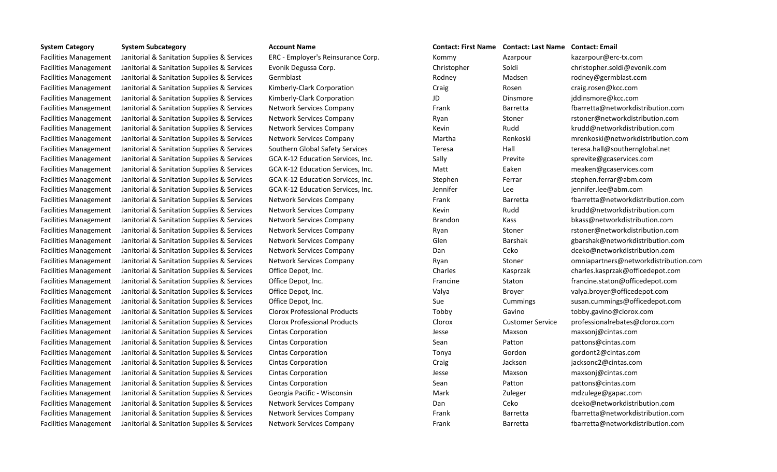Facilities Management Janitorial & Sanitation Supplies & Services ERC - Employer's Reinsurance Corp. Kommy Azarpour kazarpour@erc-tx.com Facilities Management Janitorial & Sanitation Supplies & Services Evonik Degussa Corp. Christopher Soldi Soldi christopher.soldi@evonik.com Facilities Management Janitorial & Sanitation Supplies & Services Germblast Communication Communication Supplies & Services Germblast Communication Rodney Rodney Madsen rodney@germblast.com Facilities Management Janitorial & Sanitation Supplies & Services Kimberly-Clark Corporation Craig Craig Craig Rosen Craig.rosen@kcc.com Facilities Management Janitorial & Sanitation Supplies & Services Kimberly-Clark Corporation JD JD Dinsmore iddinsmore@kcc.com Facilities Management Janitorial & Sanitation Supplies & Services Network Services Company Frank Frank Barretta barretta barretta barretta barretta barretta barretta barretta barretta barretta barretta barretta barretta ba Facilities Management Janitorial & Sanitation Supplies & Services Network Services Company Ryan Stoner rstoner@networkdistribution.com Facilities Management Janitorial & Sanitation Supplies & Services Network Services Company Kevin Kevin Rudd krudd@networkdistribution.com Facilities Management Janitorial & Sanitation Supplies & Services Network Services Company Martha Martha Renkoski menkoski@networkdistribution.com Facilities Management Janitorial & Sanitation Supplies & Services Southern Global Safety Services Teresa Teresa Hall Sanitation Supplies & Services Southern Global Safety Services Teresa Hall Hall teresa.hall@southerngloba Facilities Management Janitorial & Sanitation Supplies & Services GCA K-12 Education Services, Inc. Sally Previte sprevite sprevite@gcaservices.com Facilities Management Janitorial & Sanitation Supplies & Services GCA K-12 Education Services, Inc. Matt Eaken Eaken meaken@gcaservices.com Facilities Management Janitorial & Sanitation Supplies & Services GCA K-12 Education Services, Inc. Stephen Ferrar Ferrar Stephen.ferrar @abm.com Facilities Management Janitorial & Sanitation Supplies & Services GCA K-12 Education Services, Inc. Services about the services of the services of the services of the services of the services of the services of the service Facilities Management Janitorial & Sanitation Supplies & Services Network Services Company Frank Frank Barretta barretta barretta barretta barretta barretta barretta barretta barretta barretta barretta barretta barretta ba Facilities Management Janitorial & Sanitation Supplies & Services Network Services Company Kevin Kevin Rudd krudd@networkdistribution.com Facilities Management Janitorial & Sanitation Supplies & Services Network Services Company Brandon Kass bkass@networkdistribution.com Facilities Management Janitorial & Sanitation Supplies & Services Network Services Company Ryan Stoner rstoner@networkdistribution.com Facilities Management Janitorial & Sanitation Supplies & Services Network Services Company Glen Glen Barshak gbarshak gbarshak@networkdistribution.com Facilities Management Janitorial & Sanitation Supplies & Services Network Services Company Dan Ceko Ceko dceko@networkdistribution.com Facilities Management Janitorial & Sanitation Supplies & Services Network Services Company Ryan Stoner Stoner omniapartners@networkdistribution.com Facilities Management Janitorial & Sanitation Supplies & Services Office Depot, Inc. Charles Charles Kasprzak charles.kasprzak@officedepot.com Facilities Management Janitorial & Sanitation Supplies & Services Office Depot, Inc. The Staton Staton Staton Staton Staton Gofficedepot.com Facilities Management Janitorial & Sanitation Supplies & Services Office Depot, Inc. Valya Valya Broyer valya.broyer@officedepot.com Facilities Management Janitorial & Sanitation Supplies & Services Office Depot, Inc. Sue Sue Cummings Susan.cummings@officedepot.com Facilities Management Janitorial & Sanitation Supplies & Services Clorox Professional Products Tobby Tobby Gavino Gavino tobby.gavino@clorox.com Facilities Management Janitorial & Sanitation Supplies & Services Clorox Professional Products Clorox Customer Service professionalrebates@clorox.com Facilities Management Janitorial & Sanitation Supplies & Services Cintas Corporation Jesse Jesse Maxson Maxson maxsonj@cintas.com Facilities Management Janitorial & Sanitation Supplies & Services Cintas Corporation Supplies Sean Sean Patton patton pattons@cintas.com Facilities Management Janitorial & Sanitation Supplies & Services Cintas Corporation Tonya Tonya Gordon gordont2@cintas.com Facilities Management Janitorial & Sanitation Supplies & Services Cintas Corporation Craig Craig Craig Jackson jacksonc2@cintas.com Facilities Management Janitorial & Sanitation Supplies & Services Cintas Corporation Jesse Jesse Maxson Maxson maxsonj@cintas.com Facilities Management Janitorial & Sanitation Supplies & Services Cintas Corporation Sean Sean Patton patton pattons@cintas.com Facilities Management Janitorial & Sanitation Supplies & Services Georgia Pacific - Wisconsin Mark Mark Zuleger mdzulege@gapac.com Facilities Management Janitorial & Sanitation Supplies & Services Network Services Company Dan Ceko Ceko dceko@networkdistribution.com Facilities Management Janitorial & Sanitation Supplies & Services Network Services Company Frank Frank Barretta barretta fbarretta@networkdistribution.com Facilities Management Janitorial & Sanitation Supplies & Services Network Services Company Frank Frank Barretta barretta fbarretta@networkdistribution.com

| CONIGCL.<br>пы ман | ιυπιαι   |
|--------------------|----------|
| Kommy              | Azarpou  |
| Christopher        | Soldi    |
| Rodney             | Madser   |
| Craig              | Rosen    |
| JD                 | Dinsmo   |
| Frank              | Barretta |
| Ryan               | Stoner   |
| Kevin              | Rudd     |
| Martha             | Renkosl  |
| Teresa             | Hall     |
| Sally              | Previte  |
| Matt               | Eaken    |
| Stephen            | Ferrar   |
| Jennifer           | Lee      |
| Frank              | Barretta |
| Kevin              | Rudd     |
| <b>Brandon</b>     | Kass     |
| Ryan               | Stoner   |
| Glen               | Barshak  |
| Dan                | Ceko     |
| Ryan               | Stoner   |
| Charles            | Kasprza  |
| Francine           | Staton   |
| Valya              | Broyer   |
| Sue                | Cummir   |
| Tobby              | Gavino   |
| Clorox             | Custom   |
| Jesse              | Maxson   |
| Sean               | Patton   |
| Tonya              | Gordon   |
| Craig              | Jackson  |
| Jesse              | Maxson   |
| Sean               | Patton   |
| Mark               | Zuleger  |
| Dan                | Ceko     |
| Frank              | Barretta |
| Frank              | Barretta |

## **System Category System Subcategory Account Name Contact: First Name Contact: Last Name Contact: Email**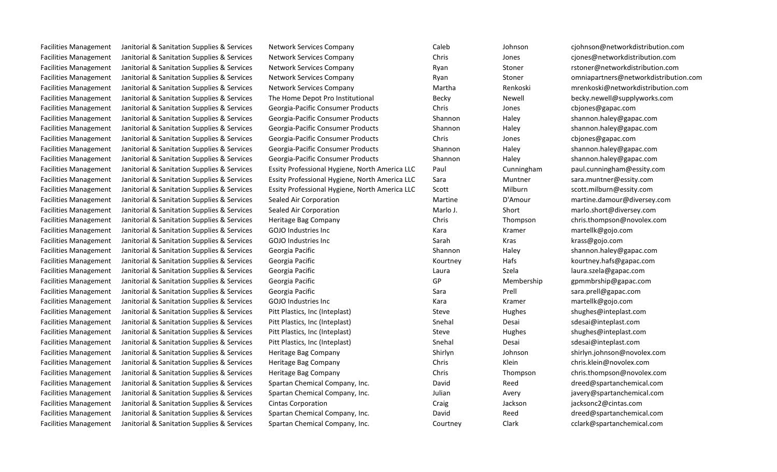| <b>Facilities Management</b> | Janitorial & Sanitation Supplies & Services | Network Services Company                       | Caleb    | Johnson    | cjohnson@networkdistribution.com      |
|------------------------------|---------------------------------------------|------------------------------------------------|----------|------------|---------------------------------------|
| <b>Facilities Management</b> | Janitorial & Sanitation Supplies & Services | <b>Network Services Company</b>                | Chris    | Jones      | cjones@networkdistribution.com        |
| <b>Facilities Management</b> | Janitorial & Sanitation Supplies & Services | Network Services Company                       | Ryan     | Stoner     | rstoner@networkdistribution.com       |
| Facilities Management        | Janitorial & Sanitation Supplies & Services | <b>Network Services Company</b>                | Ryan     | Stoner     | omniapartners@networkdistribution.com |
| <b>Facilities Management</b> | Janitorial & Sanitation Supplies & Services | <b>Network Services Company</b>                | Martha   | Renkoski   | mrenkoski@networkdistribution.com     |
| <b>Facilities Management</b> | Janitorial & Sanitation Supplies & Services | The Home Depot Pro Institutional               | Becky    | Newell     | becky.newell@supplyworks.com          |
| <b>Facilities Management</b> | Janitorial & Sanitation Supplies & Services | Georgia-Pacific Consumer Products              | Chris    | Jones      | cbjones@gapac.com                     |
| <b>Facilities Management</b> | Janitorial & Sanitation Supplies & Services | Georgia-Pacific Consumer Products              | Shannon  | Haley      | shannon.haley@gapac.com               |
| <b>Facilities Management</b> | Janitorial & Sanitation Supplies & Services | Georgia-Pacific Consumer Products              | Shannon  | Haley      | shannon.haley@gapac.com               |
| <b>Facilities Management</b> | Janitorial & Sanitation Supplies & Services | Georgia-Pacific Consumer Products              | Chris    | Jones      | cbjones@gapac.com                     |
| <b>Facilities Management</b> | Janitorial & Sanitation Supplies & Services | Georgia-Pacific Consumer Products              | Shannon  | Haley      | shannon.haley@gapac.com               |
| <b>Facilities Management</b> | Janitorial & Sanitation Supplies & Services | Georgia-Pacific Consumer Products              | Shannon  | Haley      | shannon.haley@gapac.com               |
| <b>Facilities Management</b> | Janitorial & Sanitation Supplies & Services | Essity Professional Hygiene, North America LLC | Paul     | Cunningham | paul.cunningham@essity.com            |
| <b>Facilities Management</b> | Janitorial & Sanitation Supplies & Services | Essity Professional Hygiene, North America LLC | Sara     | Muntner    | sara.muntner@essity.com               |
| <b>Facilities Management</b> | Janitorial & Sanitation Supplies & Services | Essity Professional Hygiene, North America LLC | Scott    | Milburn    | scott.milburn@essity.com              |
| <b>Facilities Management</b> | Janitorial & Sanitation Supplies & Services | Sealed Air Corporation                         | Martine  | D'Amour    | martine.damour@diversey.com           |
| <b>Facilities Management</b> | Janitorial & Sanitation Supplies & Services | Sealed Air Corporation                         | Marlo J. | Short      | marlo.short@diversey.com              |
| <b>Facilities Management</b> | Janitorial & Sanitation Supplies & Services | Heritage Bag Company                           | Chris    | Thompson   | chris.thompson@novolex.com            |
| <b>Facilities Management</b> | Janitorial & Sanitation Supplies & Services | <b>GOJO</b> Industries Inc                     | Kara     | Kramer     | martellk@gojo.com                     |
| <b>Facilities Management</b> | Janitorial & Sanitation Supplies & Services | <b>GOJO Industries Inc</b>                     | Sarah    | Kras       | krass@gojo.com                        |
| <b>Facilities Management</b> | Janitorial & Sanitation Supplies & Services | Georgia Pacific                                | Shannon  | Haley      | shannon.haley@gapac.com               |
| Facilities Management        | Janitorial & Sanitation Supplies & Services | Georgia Pacific                                | Kourtney | Hafs       | kourtney.hafs@gapac.com               |
| <b>Facilities Management</b> | Janitorial & Sanitation Supplies & Services | Georgia Pacific                                | Laura    | Szela      | laura.szela@gapac.com                 |
| <b>Facilities Management</b> | Janitorial & Sanitation Supplies & Services | Georgia Pacific                                | GP       | Membership | gpmmbrship@gapac.com                  |
| <b>Facilities Management</b> | Janitorial & Sanitation Supplies & Services | Georgia Pacific                                | Sara     | Prell      | sara.prell@gapac.com                  |
| <b>Facilities Management</b> | Janitorial & Sanitation Supplies & Services | <b>GOJO</b> Industries Inc                     | Kara     | Kramer     | martellk@gojo.com                     |
| <b>Facilities Management</b> | Janitorial & Sanitation Supplies & Services | Pitt Plastics, Inc (Inteplast)                 | Steve    | Hughes     | shughes@inteplast.com                 |
| <b>Facilities Management</b> | Janitorial & Sanitation Supplies & Services | Pitt Plastics, Inc (Inteplast)                 | Snehal   | Desai      | sdesai@inteplast.com                  |
| <b>Facilities Management</b> | Janitorial & Sanitation Supplies & Services | Pitt Plastics, Inc (Inteplast)                 | Steve    | Hughes     | shughes@inteplast.com                 |
| <b>Facilities Management</b> | Janitorial & Sanitation Supplies & Services | Pitt Plastics, Inc (Inteplast)                 | Snehal   | Desai      | sdesai@inteplast.com                  |
| <b>Facilities Management</b> | Janitorial & Sanitation Supplies & Services | Heritage Bag Company                           | Shirlyn  | Johnson    | shirlyn.johnson@novolex.com           |
| <b>Facilities Management</b> | Janitorial & Sanitation Supplies & Services | Heritage Bag Company                           | Chris    | Klein      | chris.klein@novolex.com               |
| <b>Facilities Management</b> | Janitorial & Sanitation Supplies & Services | Heritage Bag Company                           | Chris    | Thompson   | chris.thompson@novolex.com            |
| <b>Facilities Management</b> | Janitorial & Sanitation Supplies & Services | Spartan Chemical Company, Inc.                 | David    | Reed       | dreed@spartanchemical.com             |
| <b>Facilities Management</b> | Janitorial & Sanitation Supplies & Services | Spartan Chemical Company, Inc.                 | Julian   | Avery      | javery@spartanchemical.com            |
| <b>Facilities Management</b> | Janitorial & Sanitation Supplies & Services | Cintas Corporation                             | Craig    | Jackson    | jacksonc2@cintas.com                  |
| <b>Facilities Management</b> | Janitorial & Sanitation Supplies & Services | Spartan Chemical Company, Inc.                 | David    | Reed       | dreed@spartanchemical.com             |
| <b>Facilities Management</b> | Janitorial & Sanitation Supplies & Services | Spartan Chemical Company, Inc.                 | Courtney | Clark      | cclark@spartanchemical.com            |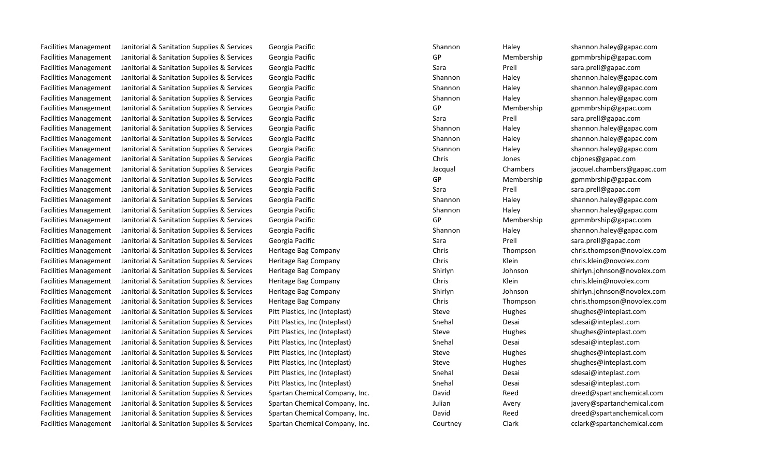Facilities Management Janitorial & Sanitation Supplies & Services Georgia Pacific Shannon Haley Shannon Haley Shannon Haley Shannon Haley Shannon Haley Shannon Haley Shannon Haley Gapac.com Facilities Management Janitorial & Sanitation Supplies & Services Georgia Pacific GP GP Membership gpmmbrship gpmmbrship gapac.com Facilities Management Janitorial & Sanitation Supplies & Services Georgia Pacific Sara Sara Prell sara.prell@gapac.com Facilities Management Janitorial & Sanitation Supplies & Services Georgia Pacific Shannon Shannon Haley Shannon Haley Shannon Haley Shannon Haley Shannon Haley Shannon Haley Shannon Haley Shannon Haley Shannon Haley Gapac. Facilities Management Janitorial & Sanitation Supplies & Services Georgia Pacific Shannon Haley Shannon Haley shannon Haley shannon.haley@gapac.com Facilities Management Janitorial & Sanitation Supplies & Services Georgia Pacific Shannon Haley Shannon Haley Shannon Haley Shannon Haley Shannon Haley Shannon Haley Shannon Haley Shannon Haley Shannon Haley Graphs Com Facilities Management Janitorial & Sanitation Supplies & Services Georgia Pacific GP GP Membership gpmmbrship@gapac.com Facilities Management Janitorial & Sanitation Supplies & Services Georgia Pacific Sara Sara Prell sara.prell@gapac.com Facilities Management Janitorial & Sanitation Supplies & Services Georgia Pacific Shannon Shannon Haley Shannon Haley Shannon Haley Shannon Haley Shannon Haley Shannon Haley Shannon Haley Shannon Haley Shannon Haley Gapac. Facilities Management Janitorial & Sanitation Supplies & Services Georgia Pacific Shannon Shannon Haley Shannon Haley Shannon Haley Shannon Haley Shannon Haley Shannon Haley Shannon Haley Shannon Haley Shannon Haley Gapac. Facilities Management Janitorial & Sanitation Supplies & Services Georgia Pacific Shannon Haley Shannon Haley Shannon Haley Shannon Haley Shannon Haley Shannon Haley Shannon Haley Shannon Haley Shannon Haley Graphs Com Facilities Management Janitorial & Sanitation Supplies & Services Georgia Pacific Chris Chris Chris Chris Jones chiones@gapac.com Facilities Management Janitorial & Sanitation Supplies & Services Georgia Pacific Jacqual Chambers jacquel.chambers@gapac.com Facilities Management Janitorial & Sanitation Supplies & Services Georgia Pacific GP GP Membership gpmmbrship@gapac.com Facilities Management Janitorial & Sanitation Supplies & Services Georgia Pacific Sara Sara Sara Prell Sara Prell Sara.prell@gapac.com Facilities Management Janitorial & Sanitation Supplies & Services Georgia Pacific Shannon Haley Shannon Haley Shannon Haley Shannon Haley Shannon Haley Shannon Haley Shannon Haley Georgia Pacific Shannon Haley Shannon Hale Facilities Management Janitorial & Sanitation Supplies & Services Georgia Pacific Shannon Haley Shannon Haley shannon Haley shannon.haley@gapac.com Facilities Management Janitorial & Sanitation Supplies & Services Georgia Pacific GP GP Membership gpmmbrship@gapac.com Facilities Management Janitorial & Sanitation Supplies & Services Georgia Pacific Shannon Shannon Haley Shannon Haley Shannon Haley Shannon Haley Shannon Haley Shannon Haley Shannon Haley Shannon Haley Shannon Haley Gapac. Facilities Management Janitorial & Sanitation Supplies & Services Georgia Pacific Sara Sara Sara Prell Sara Prell sara.prell@gapac.com Facilities Management Janitorial & Sanitation Supplies & Services Heritage Bag Company Chris Chris Chris Thompson chris.thompson@novolex.com Facilities Management Janitorial & Sanitation Supplies & Services Heritage Bag Company Chris Chris Chris Klein Chris.klein@novolex.com Facilities Management Janitorial & Sanitation Supplies & Services Heritage Bag Company Shirlyn Shirlyn Johnson shirlyn.johnson@novolex.com Facilities Management Janitorial & Sanitation Supplies & Services Heritage Bag Company Chris Chris Chris Klein Chris.klein@novolex.com Facilities Management Janitorial & Sanitation Supplies & Services Heritage Bag Company Shirlyn Shirlyn Shirlyn Johnson Shirlyn.johnson@novolex.com Facilities Management Janitorial & Sanitation Supplies & Services Heritage Bag Company Chris Chris Chris Thompson chris.thompson@novolex.com Facilities Management Janitorial & Sanitation Supplies & Services Pitt Plastics, Inc (Inteplast) Steve Shughes Hughes Stughes Shughes@inteplast.com Facilities Management Janitorial & Sanitation Supplies & Services Pitt Plastics, Inc (Inteplast) Snehal Snehal Desai Desai sdesai@inteplast.com Facilities Management Janitorial & Sanitation Supplies & Services Pitt Plastics, Inc (Inteplast) Steve Shughes Hughes Stuppers Shughes@inteplast.com Facilities Management Janitorial & Sanitation Supplies & Services Pitt Plastics, Inc (Inteplast) Snehal Snehal Desai Desai Snessi@inteplast.com Facilities Management Janitorial & Sanitation Supplies & Services Pitt Plastics, Inc (Inteplast) Steve Shughes Hughes Stughes Shughes@inteplast.com Facilities Management Janitorial & Sanitation Supplies & Services Pitt Plastics, Inc (Inteplast) Steve Shughes Hughes Stupples Stupples Steve Hughes Shughes@inteplast.com Facilities Management Janitorial & Sanitation Supplies & Services Pitt Plastics, Inc (Inteplast) Snehal Services Desai Solesai@inteplast.com Facilities Management Janitorial & Sanitation Supplies & Services Pitt Plastics, Inc (Inteplast) Snehal Snehal Desai Snessi@inteplast.com Facilities Management Janitorial & Sanitation Supplies & Services Spartan Chemical Company, Inc. 
David Reed Reed Company Reed Company, Inc. Company, Inc. Company, Inc. Reed Reed Beautifus Reed Reed Beautifus Annual Compan Facilities Management Janitorial & Sanitation Supplies & Services Spartan Chemical Company, Inc. **Facilities Management Janitorial & Sanitation Supplies & Services Spartan Chemical Company, Inc. Julian Avery Avery in the s** Facilities Management Janitorial & Sanitation Supplies & Services Spartan Chemical Company, Inc. 
David Reed Reed and Reed as anitorial & Sanitation Supplies & Services Spartan Chemical Company, Inc. David Reed Reed and Re

Facilities Management Janitorial & Sanitation Supplies & Services Spartan Chemical Company, Inc. Courtney Clark Clark Clark cclark@spartanchemical.com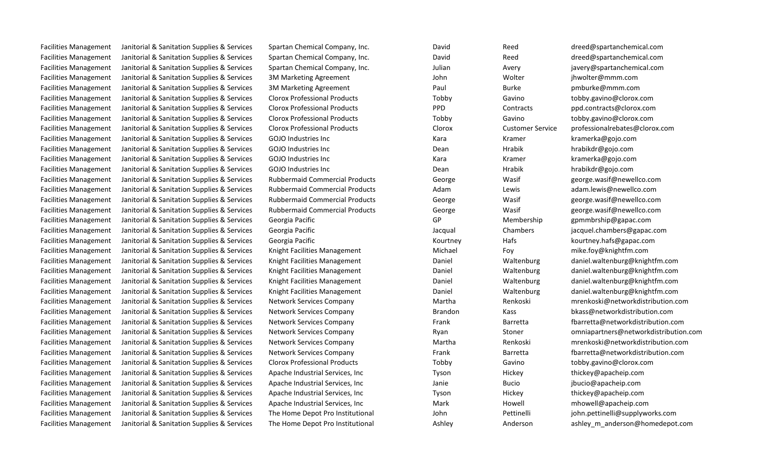Facilities Management Janitorial & Sanitation Supplies & Services Spartan Chemical Company, Inc. 
David Reed Reed Business and Reed and Reed and Reed and Reed and Reed and David Reed and Reed and Reed and Reed and Reed and Facilities Management Janitorial & Sanitation Supplies & Services Spartan Chemical Company, Inc. 
David Reed Reed and Reed as anitorial & Sanitation Supplies & Services Spartan Chemical Company, Inc. David Reed Reed and Re Facilities Management Janitorial & Sanitation Supplies & Services Spartan Chemical Company, Inc. Sulian and Avery Avery and Supplies Avery included and the spartan Chemical.com Facilities Management Janitorial & Sanitation Supplies & Services 3M Marketing Agreement John John Wolter ihwolter@mmm.com Facilities Management Janitorial & Sanitation Supplies & Services 3M Marketing Agreement Paul Paul Burke Burke pmburke@mmm.com Facilities Management Janitorial & Sanitation Supplies & Services Clorox Professional Products Tobby Tobby Gavino tobby.gavino@clorox.com Facilities Management Janitorial & Sanitation Supplies & Services Clorox Professional Products PPD Contracts ppd.contracts@clorox.com Facilities Management Janitorial & Sanitation Supplies & Services Clorox Professional Products Tobby Tobby Gavino tobby.gavino@clorox.com Facilities Management Janitorial & Sanitation Supplies & Services Clorox Professional Products Clorox Customer Service professionalrebates@clorox.com Facilities Management Janitorial & Sanitation Supplies & Services GOJO Industries Inc Kara Kramer Kramer Kramer kramerka@gojo.com Facilities Management Janitorial & Sanitation Supplies & Services GOJO Industries Inc Dean Dean Hrabik hrabikdr@gojo.com Facilities Management Janitorial & Sanitation Supplies & Services GOJO Industries Inc Kara Kramer Kramer Kramer kramerka@gojo.com Facilities Management Janitorial & Sanitation Supplies & Services GOJO Industries Inc Dean Dean Hrabik hrabikdr@gojo.com Facilities Management Janitorial & Sanitation Supplies & Services Rubbermaid Commercial Products George Wasif Wasif george.wasif@newellco.com Facilities Management Janitorial & Sanitation Supplies & Services Rubbermaid Commercial Products Adam Adam Lewis Lewis adam.lewis@newellco.com Facilities Management Janitorial & Sanitation Supplies & Services Rubbermaid Commercial Products George Wasif Wasif george.wasif@newellco.com Facilities Management Janitorial & Sanitation Supplies & Services Rubbermaid Commercial Products George Wasif Wasif george.wasif@newellco.com Facilities Management Janitorial & Sanitation Supplies & Services Georgia Pacific GP GP Membership gpmmbrship@gapac.com Facilities Management Janitorial & Sanitation Supplies & Services Georgia Pacific Jacqual Chambers jacquel.chambers@gapac.com Facilities Management Janitorial & Sanitation Supplies & Services Georgia Pacific Network Courtney Hafs Hafs Republies Assessment Analysis Communication Supplies & Services Georgia Pacific Network Analysis Assessment Devel Facilities Management Janitorial & Sanitation Supplies & Services Knight Facilities Management Michael Foy Foy mike.foy@knightfm.com Facilities Management Janitorial & Sanitation Supplies & Services Knight Facilities Management Daniel Waltenburg daniel.waltenburg@knightfm.com Facilities Management Janitorial & Sanitation Supplies & Services Knight Facilities Management Daniel Waltenburg daniel.waltenburg@knightfm.com Facilities Management Janitorial & Sanitation Supplies & Services Knight Facilities Management Daniel Waltenburg daniel.waltenburg@knightfm.com Facilities Management Janitorial & Sanitation Supplies & Services Knight Facilities Management Daniel Waltenburg daniel.waltenburg@knightfm.com Facilities Management Janitorial & Sanitation Supplies & Services Network Services Company Brandon Kass Brandon Kass bkass@networkdistribution.com Facilities Management Janitorial & Sanitation Supplies & Services Clorox Professional Products Tobby Tobby Gavino tobby.gavino@clorox.com Facilities Management Janitorial & Sanitation Supplies & Services Apache Industrial Services, Inc Tyson Hickey Hickey thickey@apacheip.com Facilities Management Janitorial & Sanitation Supplies & Services Apache Industrial Services, Inc Janie Bucio Bucio in Bucio inclusio epacheip.com Facilities Management Janitorial & Sanitation Supplies & Services Apache Industrial Services, Inc Tyson Hickey Hickey thickey@apacheip.com Facilities Management Janitorial & Sanitation Supplies & Services Apache Industrial Services, Inc Mark Howell mhowell mhowell mhowell mhowell mhowell mhowell mhowell mhowell mhowell mhowell mhowell mhowell mhowell mhowell Facilities Management Janitorial & Sanitation Supplies & Services The Home Depot Pro Institutional John John Pettinelli Pettinelli innustitutional John.pettinelli Pettinelli Pettinelli Pettinelli Pettinelli Pettinelli Pett

Facilities Management Janitorial & Sanitation Supplies & Services The Home Depot Pro Institutional Ashley Anderson Anderson ashley m anderson@homedepot.com

Facilities Management Janitorial & Sanitation Supplies & Services Network Services Company Martha Martha Renkoski mrenkoski@networkdistribution.com Facilities Management Janitorial & Sanitation Supplies & Services Network Services Company Frank Frank Barretta barretta barretta barretta barretta barretta barretta barretta barretta barretta barretta barretta barretta ba Facilities Management Janitorial & Sanitation Supplies & Services Network Services Company Ryan Stoner Stoner omniapartners@networkdistribution.com Facilities Management Janitorial & Sanitation Supplies & Services Network Services Company Martha Martha Renkoski menkoski@networkdistribution.com Facilities Management Janitorial & Sanitation Supplies & Services Network Services Company Frank Frank Barretta barretta barretta barretta barretta barretta barretta barretta barretta barretta barretta barretta barretta ba